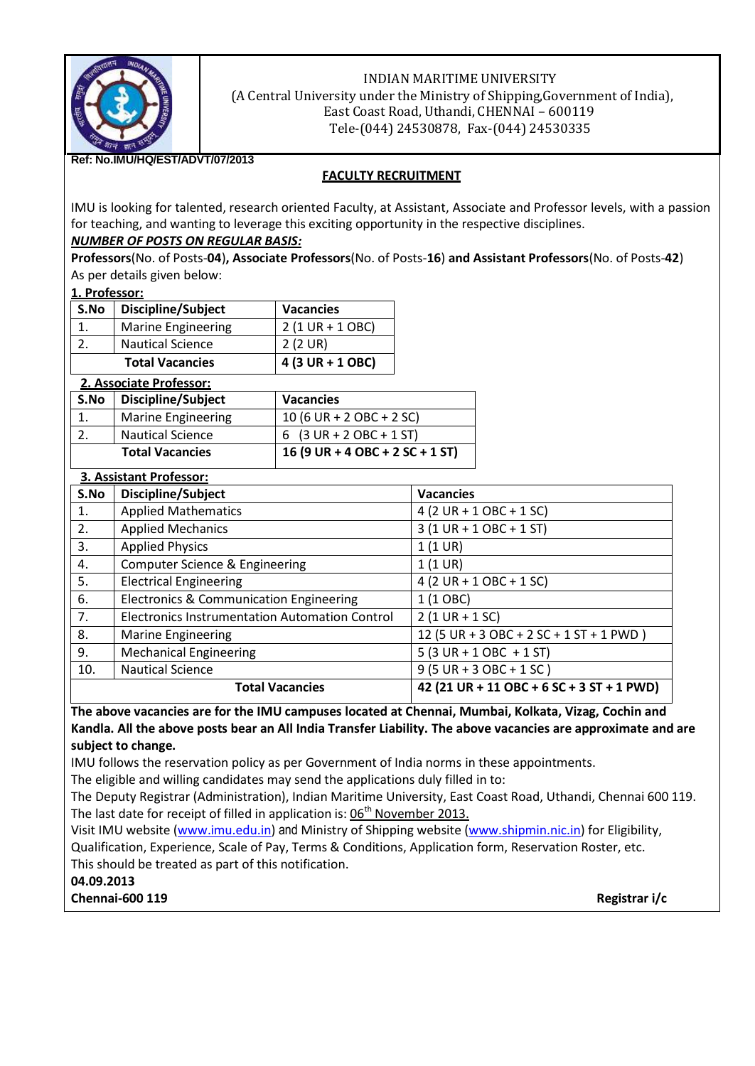

# INDIAN MARITIME UNIVERSITY

(A Central University under the Ministry of Shipping,Government of India), East Coast Road, Uthandi, CHENNAI – 600119 Tele-(044) 24530878, Fax-(044) 24530335

**Ref: No.IMU/HQ/EST/ADVT/07/2013**

## **FACULTY RECRUITMENT**

IMU is looking for talented, research oriented Faculty, at Assistant, Associate and Professor levels, with a passion for teaching, and wanting to leverage this exciting opportunity in the respective disciplines. *NUMBER OF POSTS ON REGULAR BASIS:*

**Professors**(No. of Posts-**04**)**, Associate Professors**(No. of Posts-**16**) **and Assistant Professors**(No. of Posts-**42**) As per details given below:

#### **1. Professor:**

| S.No                   | Discipline/Subject        | <b>Vacancies</b>                  |
|------------------------|---------------------------|-----------------------------------|
|                        | <b>Marine Engineering</b> | $2(1 \text{ UR} + 1 \text{ OBC})$ |
|                        | <b>Nautical Science</b>   | $2(2 \text{ UR})$                 |
| <b>Total Vacancies</b> |                           | 4 (3 UR + 1 OBC)                  |

#### **2. Associate Professor:**

| S.No                   | Discipline/Subject        | <b>Vacancies</b>                                  |
|------------------------|---------------------------|---------------------------------------------------|
|                        | <b>Marine Engineering</b> | $10 (6 UR + 2 OBC + 2 SC)$                        |
|                        | <b>Nautical Science</b>   | 6 $(3 \text{ UR} + 2 \text{ OBC} + 1 \text{ ST})$ |
| <b>Total Vacancies</b> |                           | 16 (9 UR + 4 OBC + 2 SC + 1 ST)                   |

| 3. Assistant Professor: |                                                       |                                                  |  |  |
|-------------------------|-------------------------------------------------------|--------------------------------------------------|--|--|
| S.No                    | Discipline/Subject                                    | <b>Vacancies</b>                                 |  |  |
| 1.                      | <b>Applied Mathematics</b>                            | 4 (2 UR + 1 OBC + 1 SC)                          |  |  |
| 2.                      | <b>Applied Mechanics</b>                              | $3(1 \text{ UR} + 1 \text{ OBC} + 1 \text{ ST})$ |  |  |
| 3.                      | <b>Applied Physics</b>                                | $1(1 \text{ UR})$                                |  |  |
| 4.                      | Computer Science & Engineering                        | $1(1 \text{ UR})$                                |  |  |
| 5.                      | <b>Electrical Engineering</b>                         | 4 (2 UR + 1 OBC + 1 SC)                          |  |  |
| 6.                      | Electronics & Communication Engineering               | 1 (1 OBC)                                        |  |  |
| 7 <sub>1</sub>          | <b>Electronics Instrumentation Automation Control</b> | $2(1 \text{ UR} + 1 \text{ SC})$                 |  |  |
| 8.                      | <b>Marine Engineering</b>                             | 12 (5 UR + 3 OBC + 2 SC + 1 ST + 1 PWD)          |  |  |
| 9.                      | <b>Mechanical Engineering</b>                         | $5(3 \text{ UR} + 1 \text{ OBC} + 1 \text{ ST})$ |  |  |
| 10.                     | <b>Nautical Science</b>                               | $9(5 \text{ UR} + 3 \text{ OBC} + 1 \text{ SC})$ |  |  |
|                         | <b>Total Vacancies</b>                                | 42 (21 UR + 11 OBC + 6 SC + 3 ST + 1 PWD)        |  |  |

**The above vacancies are for the IMU campuses located at Chennai, Mumbai, Kolkata, Vizag, Cochin and Kandla. All the above posts bear an All India Transfer Liability. The above vacancies are approximate and are subject to change.**

IMU follows the reservation policy as per Government of India norms in these appointments.

The eligible and willing candidates may send the applications duly filled in to:

The Deputy Registrar (Administration), Indian Maritime University, East Coast Road, Uthandi, Chennai 600 119. The last date for receipt of filled in application is:  $06<sup>th</sup>$  November 2013.

Visit IMU website [\(www.imu.edu.in\)](http://www.imu.edu.in/) and Ministry of Shipping website [\(www.shipmin.nic.in\)](http://www.shipmin.nic.in/) for Eligibility, Qualification, Experience, Scale of Pay, Terms & Conditions, Application form, Reservation Roster, etc. This should be treated as part of this notification.

**04.09.2013**

**Chennai-600 119 Registrar i/c**